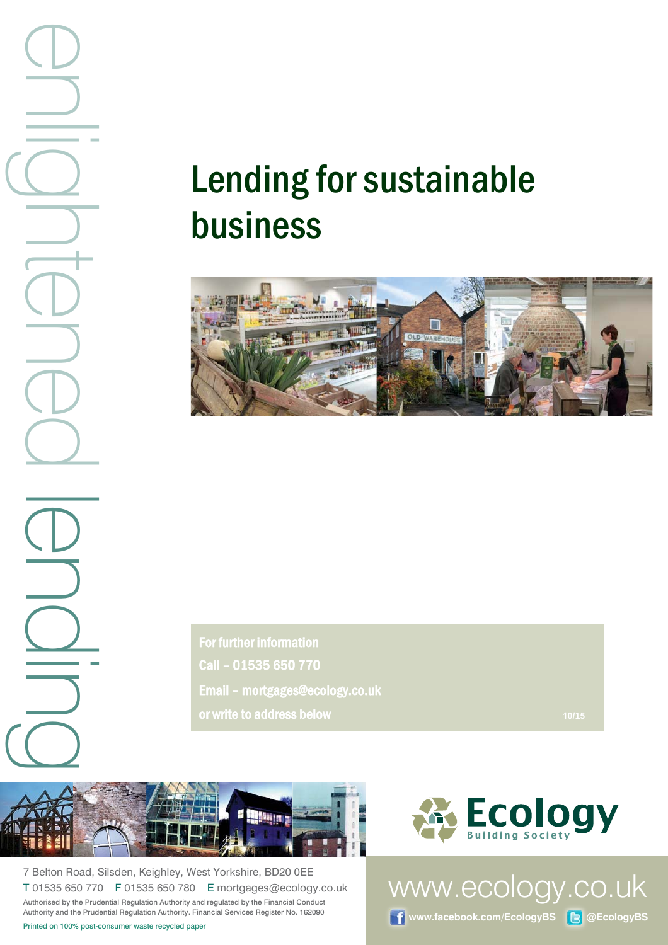# Lending for sustainable business



For further information Call – 01535 650 770 Email – mortgages@ecology.co.uk or write to address below **/1**



7 Belton Road, Silsden, Keighley, West Yorkshire, BD20 0EE T 01535 650 770 F 01535 650 780 E mortgages@ecology.co.uk Authorised by the Prudential Regulation Authority and regulated by the Financial Conduct Authority and the Prudential Regulation Authority. Financial Services Register No. 162090



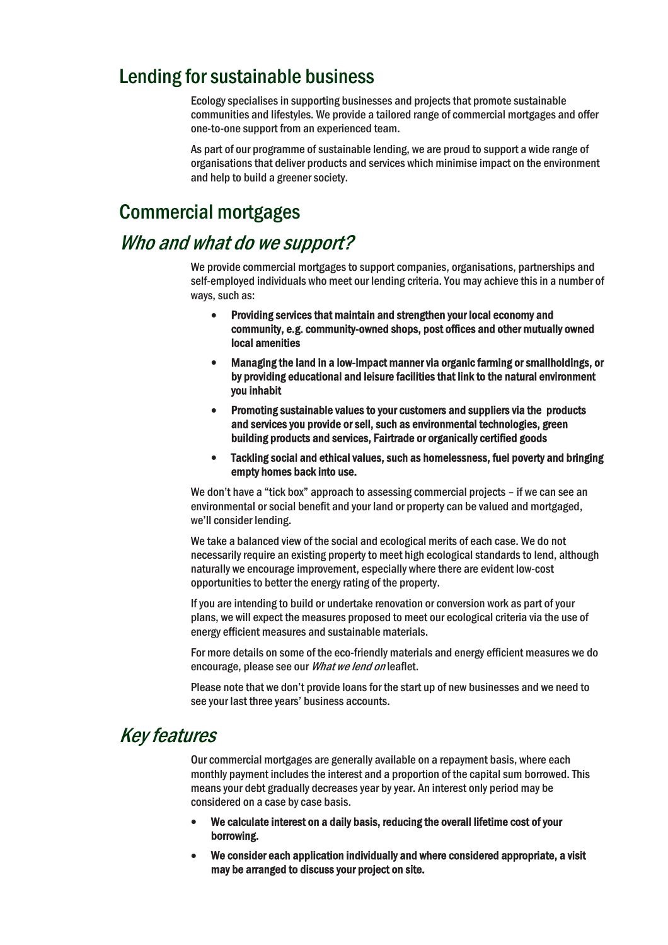## Lending for sustainable business

Ecology specialises in supporting businesses and projects that promote sustainable communities and lifestyles. We provide a tailored range of commercial mortgages and offer one-to-one support from an experienced team.

As part of our programme of sustainable lending, we are proud to support a wide range of organisations that deliver products and services which minimise impact on the environment and help to build a greener society.

## Commercial mortgages

## Who and what do we support?

We provide commercial mortgages to support companies, organisations, partnerships and self-employed individuals who meet our lending criteria. You may achieve this in a number of ways, such as:

- Providing services that maintain and strengthen your local economy and community, e.g. community-owned shops, post offices and other mutually owned local amenities
- Managing the land in a low-impact manner via organic farming or smallholdings, or by providing educational and leisure facilities that link to the natural environment you inhabit
- Promoting sustainable values to your customers and suppliers via the products and services you provide or sell, such as environmental technologies, green building products and services, Fairtrade or organically certified goods
- Tackling social and ethical values, such as homelessness, fuel poverty and bringing empty homes back into use.

We don't have a "tick box" approach to assessing commercial projects - if we can see an environmental or social benefit and your land or property can be valued and mortgaged, we'll consider lending.

We take a balanced view of the social and ecological merits of each case. We do not necessarily require an existing property to meet high ecological standards to lend, although naturally we encourage improvement, especially where there are evident low-cost opportunities to better the energy rating of the property.

If you are intending to build or undertake renovation or conversion work as part of your plans, we will expect the measures proposed to meet our ecological criteria via the use of energy efficient measures and sustainable materials.

For more details on some of the eco-friendly materials and energy efficient measures we do encourage, please see our What we lend on leaflet.

Please note that we don't provide loans for the start up of new businesses and we need to see your last three years' business accounts.

## Key features

Our commercial mortgages are generally available on a repayment basis, where each monthly payment includes the interest and a proportion of the capital sum borrowed. This means your debt gradually decreases year by year. An interest only period may be considered on a case by case basis.

- We calculate interest on a daily basis, reducing the overall lifetime cost of your borrowing.
- We consider each application individually and where considered appropriate, a visit may be arranged to discuss your project on site.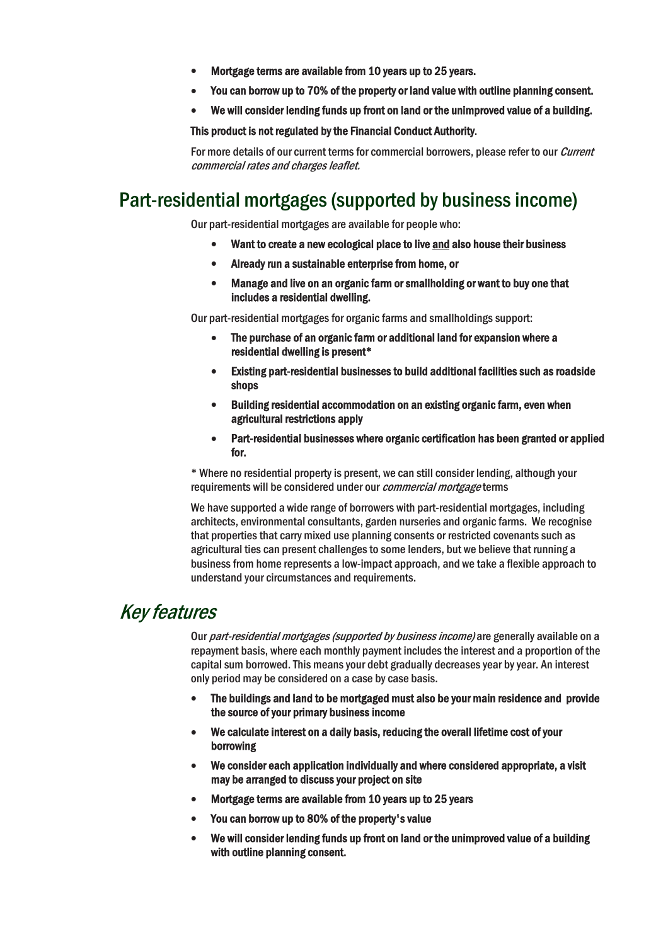- Mortgage terms are available from 10 years up to 25 years.
- You can borrow up to 70% of the property or land value with outline planning consent.
- We will consider lending funds up front on land or the unimproved value of a building.

#### This product is not regulated by the Financial Conduct Authority.

For more details of our current terms for commercial borrowers, please refer to our *Current* commercial rates and charges leaflet.

# Part-residential mortgages (supported by business income)

Our part-residential mortgages are available for people who:

- Want to create a new ecological place to live and also house their business
- Already run a sustainable enterprise from home, or
- Manage and live on an organic farm or smallholding or want to buy one that includes a residential dwelling.

Our part-residential mortgages for organic farms and smallholdings support:

- The purchase of an organic farm or additional land for expansion where a residential dwelling is present\*
- Existing part-residential businesses to build additional facilities such as roadside shops
- Building residential accommodation on an existing organic farm, even when agricultural restrictions apply
- Part-residential businesses where organic certification has been granted or applied for.

\* Where no residential property is present, we can still consider lending, although your requirements will be considered under our *commercial mortgage* terms

We have supported a wide range of borrowers with part-residential mortgages, including architects, environmental consultants, garden nurseries and organic farms. We recognise that properties that carry mixed use planning consents or restricted covenants such as agricultural ties can present challenges to some lenders, but we believe that running a business from home represents a low-impact approach, and we take a flexible approach to understand your circumstances and requirements.

### Key features

Our *part-residential mortgages (supported by business income)* are generally available on a repayment basis, where each monthly payment includes the interest and a proportion of the capital sum borrowed. This means your debt gradually decreases year by year. An interest only period may be considered on a case by case basis.

- The buildings and land to be mortgaged must also be your main residence and provide the source of your primary business income
- We calculate interest on a daily basis, reducing the overall lifetime cost of your borrowing
- We consider each application individually and where considered appropriate, a visit may be arranged to discuss your project on site
- Mortgage terms are available from 10 years up to 25 years
- You can borrow up to 80% of the property's value
- We will consider lending funds up front on land or the unimproved value of a building with outline planning consent.